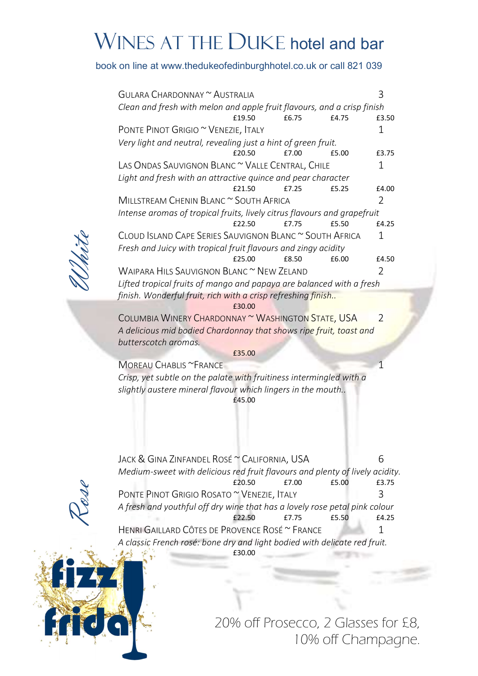## WINES AT THE DUKE hotel and bar

## book on line at www.thedukeofedinburghhotel.co.uk or call 821 039

|  | GULARA CHARDONNAY ~ AUSTRALIA                                                                                                  |                                                  |       |       | 3             |
|--|--------------------------------------------------------------------------------------------------------------------------------|--------------------------------------------------|-------|-------|---------------|
|  | Clean and fresh with melon and apple fruit flavours, and a crisp finish                                                        |                                                  |       |       |               |
|  |                                                                                                                                | £19.50                                           | £6.75 | £4.75 | £3.50         |
|  | PONTE PINOT GRIGIO ~ VENEZIE, ITALY                                                                                            |                                                  |       |       | 1             |
|  | Very light and neutral, revealing just a hint of green fruit.                                                                  |                                                  |       |       |               |
|  |                                                                                                                                | £20.50                                           | £7.00 | f5.00 | £3.75         |
|  |                                                                                                                                | LAS ONDAS SAUVIGNON BLANC ~ VALLE CENTRAL, CHILE |       |       |               |
|  | Light and fresh with an attractive quince and pear character                                                                   |                                                  |       |       |               |
|  |                                                                                                                                | £21.50                                           | £7.25 | £5.25 | £4.00         |
|  | MILLSTREAM CHENIN BLANC ~ SOUTH AFRICA                                                                                         |                                                  |       |       | $\mathcal{L}$ |
|  | Intense aromas of tropical fruits, lively citrus flavours and grapefruit                                                       |                                                  |       |       |               |
|  |                                                                                                                                | £22.50                                           | £7.75 | £5.50 | £4.25         |
|  | CLOUD ISLAND CAPE SERIES SAUVIGNON BLANC ~ SOUTH AFRICA<br>1<br>Fresh and Juicy with tropical fruit flavours and zingy acidity |                                                  |       |       |               |
|  |                                                                                                                                |                                                  |       |       |               |
|  |                                                                                                                                | f25.00                                           | £8.50 | £6.00 | £4.50         |
|  | WAIPARA HILS SAUVIGNON BLANC ~ NEW ZELAND                                                                                      |                                                  |       |       |               |
|  | Lifted tropical fruits of mango and papaya are balanced with a fresh                                                           |                                                  |       |       |               |
|  | finish. Wonderful fruit, rich with a crisp refreshing finish                                                                   |                                                  |       |       |               |
|  |                                                                                                                                | £30.00                                           |       |       |               |
|  | COLUMBIA WINERY CHARDONNAY ~ WASHINGTON STATE, USA                                                                             |                                                  |       |       | $\mathcal{P}$ |
|  | A delicious mid bodied Chardonnay that shows ripe fruit, toast and                                                             |                                                  |       |       |               |
|  | butterscotch aromas.                                                                                                           |                                                  |       |       |               |
|  |                                                                                                                                |                                                  |       |       |               |

£35.00

MOREAU CHABLIS ~FRANCE

Crisp, yet subtle on the palate with fruitiness intermingled with a slightly austere mineral flavour which lingers in the mouth.. £45.00

PONTE PINO JACK & GINA ZINFANDEL ROSÉ ~ CALIFORNIA, USA 6 Medium-sweet with delicious red fruit flavours and plenty of lively acidity. £20.50 £7.00 £5.00 £3.75 PONTE PINOT GRIGIO ROSATO ~ VENEZIE, ITALY 3 A fresh and youthful off dry wine that has a lovely rose petal pink colour £22.50 £7.75 £5.50 £4.25 HENRI GAILLARD CÔTES DE PROVENCE ROSÉ ~ FRANCE 1 A classic French rosé: bone dry and light bodied with delicate red fruit.

£30.00



 20% off Prosecco, 2 Glasses for £8, 10% off Champagne.